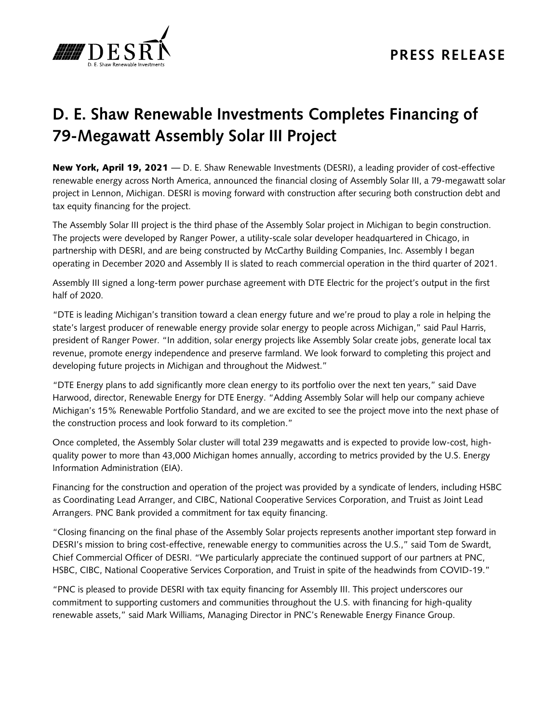

## **D. E. Shaw Renewable Investments Completes Financing of 79-Megawatt Assembly Solar III Project**

New York, April 19, 2021 — D. E. Shaw Renewable Investments (DESRI), a leading provider of cost-effective renewable energy across North America, announced the financial closing of Assembly Solar III, a 79-megawatt solar project in Lennon, Michigan. DESRI is moving forward with construction after securing both construction debt and tax equity financing for the project.

The Assembly Solar III project is the third phase of the Assembly Solar project in Michigan to begin construction. The projects were developed by Ranger Power, a utility-scale solar developer headquartered in Chicago, in partnership with DESRI, and are being constructed by McCarthy Building Companies, Inc. Assembly I began operating in December 2020 and Assembly II is slated to reach commercial operation in the third quarter of 2021.

Assembly III signed a long-term power purchase agreement with DTE Electric for the project's output in the first half of 2020.

"DTE is leading Michigan's transition toward a clean energy future and we're proud to play a role in helping the state's largest producer of renewable energy provide solar energy to people across Michigan," said Paul Harris, president of Ranger Power. "In addition, solar energy projects like Assembly Solar create jobs, generate local tax revenue, promote energy independence and preserve farmland. We look forward to completing this project and developing future projects in Michigan and throughout the Midwest."

"DTE Energy plans to add significantly more clean energy to its portfolio over the next ten years," said Dave Harwood, director, Renewable Energy for DTE Energy. "Adding Assembly Solar will help our company achieve Michigan's 15% Renewable Portfolio Standard, and we are excited to see the project move into the next phase of the construction process and look forward to its completion."

Once completed, the Assembly Solar cluster will total 239 megawatts and is expected to provide low-cost, highquality power to more than 43,000 Michigan homes annually, according to metrics provided by the U.S. Energy Information Administration (EIA).

Financing for the construction and operation of the project was provided by a syndicate of lenders, including HSBC as Coordinating Lead Arranger, and CIBC, National Cooperative Services Corporation, and Truist as Joint Lead Arrangers. PNC Bank provided a commitment for tax equity financing.

"Closing financing on the final phase of the Assembly Solar projects represents another important step forward in DESRI's mission to bring cost-effective, renewable energy to communities across the U.S.," said Tom de Swardt, Chief Commercial Officer of DESRI. "We particularly appreciate the continued support of our partners at PNC, HSBC, CIBC, National Cooperative Services Corporation, and Truist in spite of the headwinds from COVID-19."

"PNC is pleased to provide DESRI with tax equity financing for Assembly III. This project underscores our commitment to supporting customers and communities throughout the U.S. with financing for high-quality renewable assets," said Mark Williams, Managing Director in PNC's Renewable Energy Finance Group.